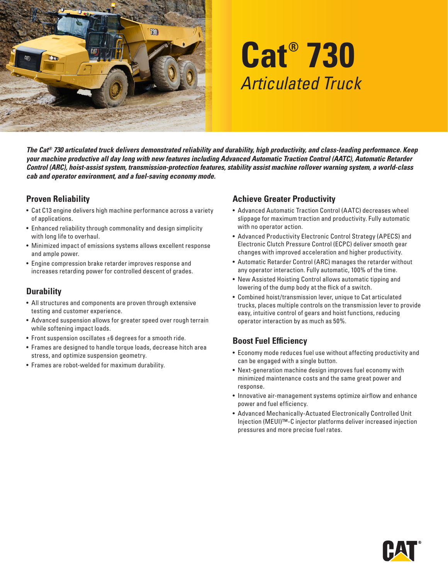

# **Cat® 730** *Articulated Truck*

*The Cat® 730 articulated truck delivers demonstrated reliability and durability, high productivity, and class-leading performance. Keep your machine productive all day long with new features including Advanced Automatic Traction Control (AATC), Automatic Retarder Control (ARC), hoist-assist system, transmission-protection features, stability assist machine rollover warning system, a world-class cab and operator environment, and a fuel-saving economy mode.*

#### **Proven Reliability**

- Cat C13 engine delivers high machine performance across a variety of applications.
- Enhanced reliability through commonality and design simplicity with long life to overhaul.
- Minimized impact of emissions systems allows excellent response and ample power.
- Engine compression brake retarder improves response and increases retarding power for controlled descent of grades.

## **Durability**

- All structures and components are proven through extensive testing and customer experience.
- Advanced suspension allows for greater speed over rough terrain while softening impact loads.
- Front suspension oscillates ±6 degrees for a smooth ride.
- Frames are designed to handle torque loads, decrease hitch area stress, and optimize suspension geometry.
- Frames are robot-welded for maximum durability.

## **Achieve Greater Productivity**

- Advanced Automatic Traction Control (AATC) decreases wheel slippage for maximum traction and productivity. Fully automatic with no operator action.
- Advanced Productivity Electronic Control Strategy (APECS) and Electronic Clutch Pressure Control (ECPC) deliver smooth gear changes with improved acceleration and higher productivity.
- Automatic Retarder Control (ARC) manages the retarder without any operator interaction. Fully automatic, 100% of the time.
- New Assisted Hoisting Control allows automatic tipping and lowering of the dump body at the flick of a switch.
- Combined hoist/transmission lever, unique to Cat articulated trucks, places multiple controls on the transmission lever to provide easy, intuitive control of gears and hoist functions, reducing operator interaction by as much as 50%.

## **Boost Fuel Efficiency**

- Economy mode reduces fuel use without affecting productivity and can be engaged with a single button.
- Next-generation machine design improves fuel economy with minimized maintenance costs and the same great power and response.
- Innovative air-management systems optimize airflow and enhance power and fuel efficiency.
- Advanced Mechanically-Actuated Electronically Controlled Unit Injection (MEUI)™-C injector platforms deliver increased injection pressures and more precise fuel rates.

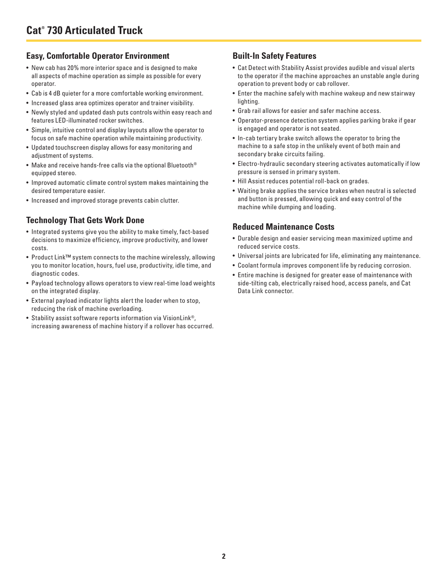#### **Easy, Comfortable Operator Environment**

- New cab has 20% more interior space and is designed to make all aspects of machine operation as simple as possible for every operator.
- Cab is 4 dB quieter for a more comfortable working environment.
- Increased glass area optimizes operator and trainer visibility.
- Newly styled and updated dash puts controls within easy reach and features LED-illuminated rocker switches.
- Simple, intuitive control and display layouts allow the operator to focus on safe machine operation while maintaining productivity.
- Updated touchscreen display allows for easy monitoring and adjustment of systems.
- Make and receive hands-free calls via the optional Bluetooth® equipped stereo.
- Improved automatic climate control system makes maintaining the desired temperature easier.
- Increased and improved storage prevents cabin clutter.

#### **Technology That Gets Work Done**

- Integrated systems give you the ability to make timely, fact-based decisions to maximize efficiency, improve productivity, and lower costs.
- Product Link™ system connects to the machine wirelessly, allowing you to monitor location, hours, fuel use, productivity, idle time, and diagnostic codes.
- Payload technology allows operators to view real-time load weights on the integrated display.
- External payload indicator lights alert the loader when to stop, reducing the risk of machine overloading.
- Stability assist software reports information via VisionLink®, increasing awareness of machine history if a rollover has occurred.

## **Built-In Safety Features**

- Cat Detect with Stability Assist provides audible and visual alerts to the operator if the machine approaches an unstable angle during operation to prevent body or cab rollover.
- Enter the machine safely with machine wakeup and new stairway lighting.
- Grab rail allows for easier and safer machine access.
- Operator-presence detection system applies parking brake if gear is engaged and operator is not seated.
- In-cab tertiary brake switch allows the operator to bring the machine to a safe stop in the unlikely event of both main and secondary brake circuits failing.
- Electro-hydraulic secondary steering activates automatically if low pressure is sensed in primary system.
- Hill Assist reduces potential roll-back on grades.
- Waiting brake applies the service brakes when neutral is selected and button is pressed, allowing quick and easy control of the machine while dumping and loading.

#### **Reduced Maintenance Costs**

- Durable design and easier servicing mean maximized uptime and reduced service costs.
- Universal joints are lubricated for life, eliminating any maintenance.
- Coolant formula improves component life by reducing corrosion.
- Entire machine is designed for greater ease of maintenance with side-tilting cab, electrically raised hood, access panels, and Cat Data Link connector.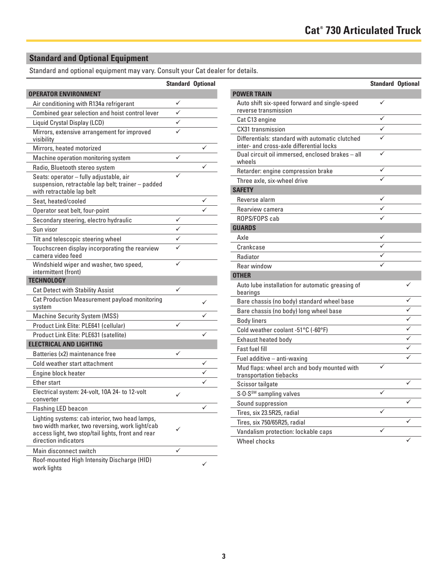## **Standard and Optional Equipment**

Standard and optional equipment may vary. Consult your Cat dealer for details.

|                                                                                                                                                                                  | <b>Standard Optional</b> |   |
|----------------------------------------------------------------------------------------------------------------------------------------------------------------------------------|--------------------------|---|
| <b>OPERATOR ENVIRONMENT</b>                                                                                                                                                      |                          |   |
| Air conditioning with R134a refrigerant                                                                                                                                          |                          |   |
| Combined gear selection and hoist control lever                                                                                                                                  | $\checkmark$             |   |
| Liquid Crystal Display (LCD)                                                                                                                                                     |                          |   |
| Mirrors, extensive arrangement for improved<br>visibility                                                                                                                        |                          |   |
| Mirrors, heated motorized                                                                                                                                                        |                          |   |
| Machine operation monitoring system                                                                                                                                              | ✓                        |   |
| Radio, Bluetooth stereo system                                                                                                                                                   |                          |   |
| Seats: operator - fully adjustable, air<br>suspension, retractable lap belt; trainer - padded<br>with retractable lap belt                                                       |                          |   |
| Seat, heated/cooled                                                                                                                                                              |                          |   |
| Operator seat belt, four-point                                                                                                                                                   |                          |   |
| Secondary steering, electro hydraulic                                                                                                                                            |                          |   |
| Sun visor                                                                                                                                                                        |                          |   |
| Tilt and telescopic steering wheel                                                                                                                                               |                          |   |
| Touchscreen display incorporating the rearview<br>camera video feed                                                                                                              |                          |   |
| Windshield wiper and washer, two speed,<br>intermittent (front)                                                                                                                  |                          |   |
| <b>TECHNOLOGY</b>                                                                                                                                                                |                          |   |
| <b>Cat Detect with Stability Assist</b>                                                                                                                                          |                          |   |
| Cat Production Measurement payload monitoring<br>system                                                                                                                          |                          | ✓ |
| Machine Security System (MSS)                                                                                                                                                    |                          |   |
| Product Link Elite: PLE641 (cellular)                                                                                                                                            |                          |   |
| Product Link Elite: PLE631 (satellite)                                                                                                                                           |                          |   |
| <b>ELECTRICAL AND LIGHTING</b>                                                                                                                                                   |                          |   |
| Batteries (x2) maintenance free                                                                                                                                                  | ✓                        |   |
| Cold weather start attachment                                                                                                                                                    |                          |   |
| Engine block heater                                                                                                                                                              |                          |   |
| Ether start                                                                                                                                                                      |                          |   |
| Electrical system: 24-volt, 10A 24- to 12-volt<br>converter                                                                                                                      | ✓                        |   |
| <b>Flashing LED beacon</b>                                                                                                                                                       |                          |   |
| Lighting systems: cab interior, two head lamps,<br>two width marker, two reversing, work light/cab<br>access light, two stop/tail lights, front and rear<br>direction indicators |                          |   |
| Main disconnect switch                                                                                                                                                           |                          |   |
| Roof-mounted High Intensity Discharge (HID)<br>work lights                                                                                                                       |                          |   |

|                                                                                             | <b>Standard Optional</b> |   |
|---------------------------------------------------------------------------------------------|--------------------------|---|
| <b>POWER TRAIN</b>                                                                          |                          |   |
| Auto shift six-speed forward and single-speed<br>reverse transmission                       | ✓                        |   |
| Cat C13 engine                                                                              |                          |   |
| CX31 transmission                                                                           |                          |   |
| Differentials: standard with automatic clutched<br>inter- and cross-axle differential locks |                          |   |
| Dual circuit oil immersed, enclosed brakes - all<br>wheels                                  |                          |   |
| Retarder: engine compression brake                                                          |                          |   |
| Three axle, six-wheel drive                                                                 |                          |   |
| <b>SAFETY</b>                                                                               |                          |   |
| Reverse alarm                                                                               |                          |   |
| Rearview camera                                                                             |                          |   |
| ROPS/FOPS cab                                                                               |                          |   |
| <b>GUARDS</b>                                                                               |                          |   |
| Axle                                                                                        |                          |   |
| Crankcase                                                                                   |                          |   |
| Radiator                                                                                    |                          |   |
| Rear window                                                                                 |                          |   |
| <b>OTHER</b>                                                                                |                          |   |
| Auto lube installation for automatic greasing of<br>bearings                                |                          |   |
| Bare chassis (no body) standard wheel base                                                  |                          |   |
| Bare chassis (no body) long wheel base                                                      |                          |   |
| <b>Body liners</b>                                                                          |                          |   |
| Cold weather coolant -51°C (-60°F)                                                          |                          |   |
| Exhaust heated body                                                                         |                          |   |
| <b>Fast fuel fill</b>                                                                       |                          |   |
| Fuel additive - anti-waxing                                                                 |                          | ✓ |
| Mud flaps: wheel arch and body mounted with<br>transportation tiebacks                      | ✓                        |   |
| Scissor tailgate                                                                            |                          | ✓ |
| S.O.S <sup>SM</sup> sampling valves                                                         | ✓                        |   |
| Sound suppression                                                                           |                          |   |
| Tires, six 23.5R25, radial                                                                  | ✓                        |   |
| Tires, six 750/65R25, radial                                                                |                          | ✓ |
| Vandalism protection: lockable caps                                                         | ✓                        |   |
| Wheel chocks                                                                                |                          | ✓ |